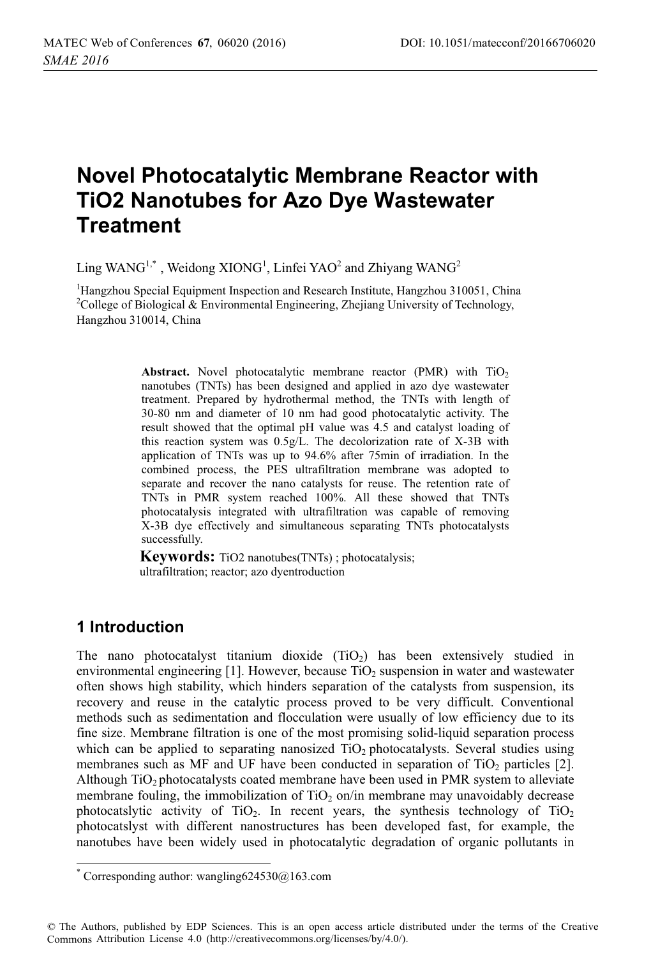# **Novel Photocatalytic Membrane Reactor with TiO2 Nanotubes for Azo Dye Wastewater Treatment**

Ling WANG<sup>1,\*</sup>, Weidong XIONG<sup>1</sup>, Linfei YAO<sup>2</sup> and Zhiyang WANG<sup>2</sup>

<sup>1</sup>Hangzhou Special Equipment Inspection and Research Institute, Hangzhou 310051, China <sup>2</sup>College of Biological & Environmental Engineering, Zhejiang University of Technology, Hangzhou 310014, China

> **Abstract.** Novel photocatalytic membrane reactor  $(PMR)$  with  $TiO<sub>2</sub>$ nanotubes (TNTs) has been designed and applied in azo dye wastewater treatment. Prepared by hydrothermal method, the TNTs with length of 30-80 nm and diameter of 10 nm had good photocatalytic activity. The result showed that the optimal pH value was 4.5 and catalyst loading of this reaction system was 0.5g/L. The decolorization rate of X-3B with application of TNTs was up to 94.6% after 75min of irradiation. In the combined process, the PES ultrafiltration membrane was adopted to separate and recover the nano catalysts for reuse. The retention rate of TNTs in PMR system reached 100%. All these showed that TNTs photocatalysis integrated with ultrafiltration was capable of removing X-3B dye effectively and simultaneous separating TNTs photocatalysts successfully.

**Keywords:** TiO2 nanotubes(TNTs) ; photocatalysis; ultrafiltration; reactor; azo dyentroduction

## **1 Introduction**

The nano photocatalyst titanium dioxide  $(TiO<sub>2</sub>)$  has been extensively studied in environmental engineering  $[1]$ . However, because TiO<sub>2</sub> suspension in water and wastewater often shows high stability, which hinders separation of the catalysts from suspension, its recovery and reuse in the catalytic process proved to be very difficult. Conventional methods such as sedimentation and flocculation were usually of low efficiency due to its fine size. Membrane filtration is one of the most promising solid-liquid separation process which can be applied to separating nanosized  $TiO<sub>2</sub>$  photocatalysts. Several studies using membranes such as MF and UF have been conducted in separation of  $TiO<sub>2</sub>$  particles [2]. Although  $TiO<sub>2</sub>$  photocatalysts coated membrane have been used in PMR system to alleviate membrane fouling, the immobilization of  $TiO<sub>2</sub>$  on/in membrane may unavoidably decrease photocatslytic activity of  $TiO<sub>2</sub>$ . In recent years, the synthesis technology of  $TiO<sub>2</sub>$ photocatslyst with different nanostructures has been developed fast, for example, the nanotubes have been widely used in photocatalytic degradation of organic pollutants in

 \* Corresponding author: wangling624530@163.com

<sup>©</sup> The Authors, published by EDP Sciences. This is an open access article distributed under the terms of the Creative Commons Attribution License 4.0 (http://creativecommons.org/licenses/by/4.0/).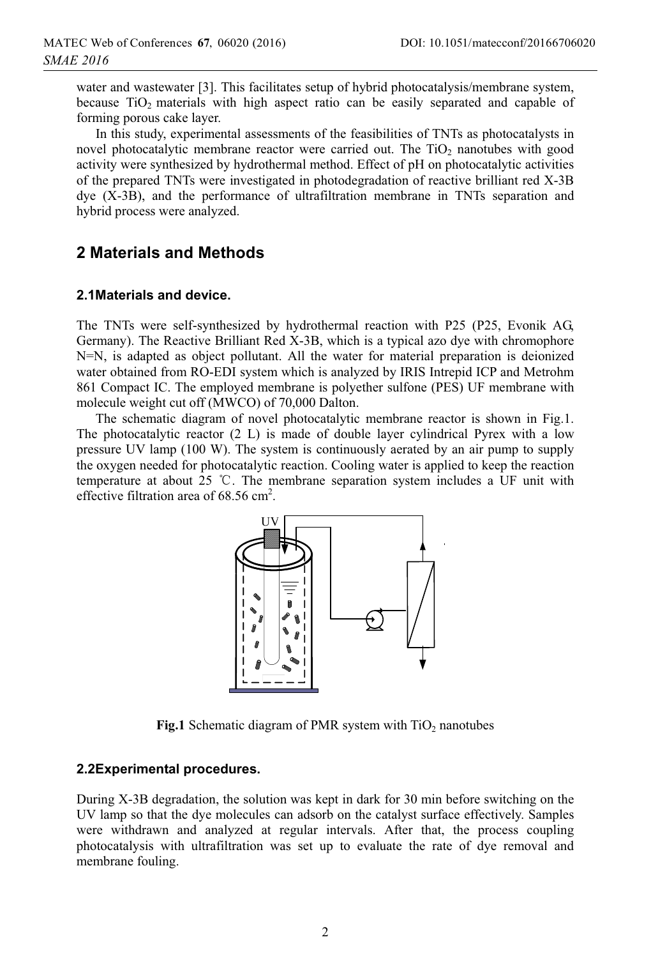water and wastewater [3]. This facilitates setup of hybrid photocatalysis/membrane system, because  $TiO<sub>2</sub>$  materials with high aspect ratio can be easily separated and capable of forming porous cake layer.

In this study, experimental assessments of the feasibilities of TNTs as photocatalysts in novel photocatalytic membrane reactor were carried out. The  $TiO<sub>2</sub>$  nanotubes with good activity were synthesized by hydrothermal method. Effect of pH on photocatalytic activities of the prepared TNTs were investigated in photodegradation of reactive brilliant red X-3B dye (X-3B), and the performance of ultrafiltration membrane in TNTs separation and hybrid process were analyzed.

# **2 Materials and Methods**

#### **2.1Materials and device.**

The TNTs were self-synthesized by hydrothermal reaction with P25 (P25, Evonik AG, Germany). The Reactive Brilliant Red X-3B, which is a typical azo dye with chromophore N=N, is adapted as object pollutant. All the water for material preparation is deionized water obtained from RO-EDI system which is analyzed by IRIS Intrepid ICP and Metrohm 861 Compact IC. The employed membrane is polyether sulfone (PES) UF membrane with molecule weight cut off (MWCO) of 70,000 Dalton.

The schematic diagram of novel photocatalytic membrane reactor is shown in Fig.1. The photocatalytic reactor (2 L) is made of double layer cylindrical Pyrex with a low pressure UV lamp (100 W). The system is continuously aerated by an air pump to supply the oxygen needed for photocatalytic reaction. Cooling water is applied to keep the reaction temperature at about 25  $\degree$ C. The membrane separation system includes a UF unit with effective filtration area of  $68.56 \text{ cm}^2$ .



**Fig.1** Schematic diagram of PMR system with  $TiO<sub>2</sub>$  nanotubes

#### **2.2Experimental procedures.**

During X-3B degradation, the solution was kept in dark for 30 min before switching on the UV lamp so that the dye molecules can adsorb on the catalyst surface effectively. Samples were withdrawn and analyzed at regular intervals. After that, the process coupling photocatalysis with ultrafiltration was set up to evaluate the rate of dye removal and membrane fouling.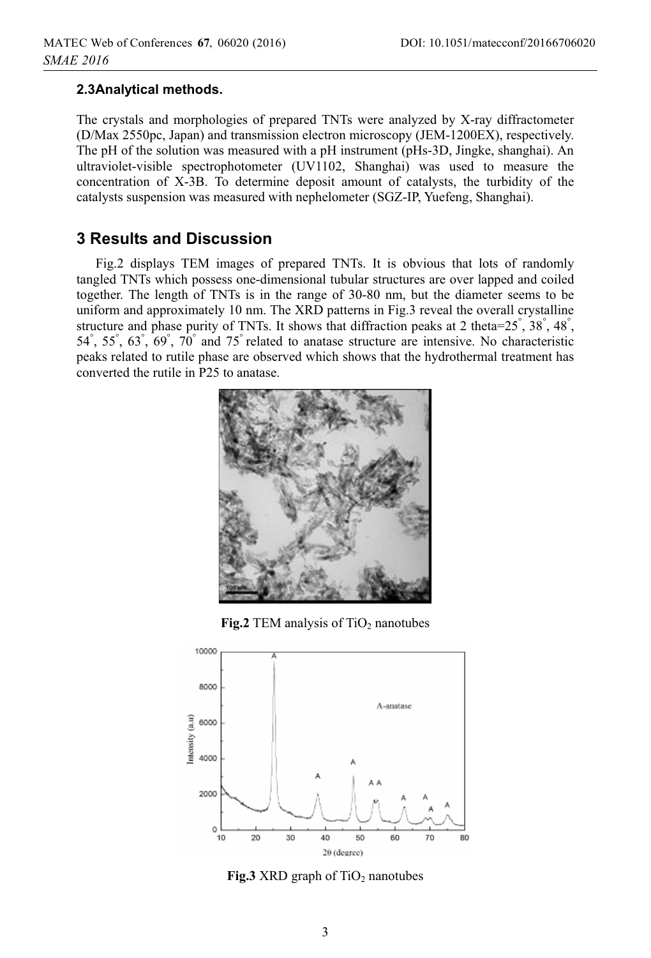#### **2.3Analytical methods.**

The crystals and morphologies of prepared TNTs were analyzed by X-ray diffractometer (D/Max 2550pc, Japan) and transmission electron microscopy (JEM-1200EX), respectively. The pH of the solution was measured with a pH instrument (pHs-3D, Jingke, shanghai). An ultraviolet-visible spectrophotometer (UV1102, Shanghai) was used to measure the concentration of X-3B. To determine deposit amount of catalysts, the turbidity of the catalysts suspension was measured with nephelometer (SGZ-IP, Yuefeng, Shanghai).

## **3 Results and Discussion**

Fig.2 displays TEM images of prepared TNTs. It is obvious that lots of randomly tangled TNTs which possess one-dimensional tubular structures are over lapped and coiled together. The length of TNTs is in the range of 30-80 nm, but the diameter seems to be uniform and approximately 10 nm. The XRD patterns in Fig.3 reveal the overall crystalline structure and phase purity of TNTs. It shows that diffraction peaks at 2 theta= $25^{\circ}$ ,  $38^{\circ}$ ,  $48^{\circ}$ , 54°, 55°, 63°, 69°, 70° and 75° related to anatase structure are intensive. No characteristic peaks related to rutile phase are observed which shows that the hydrothermal treatment has converted the rutile in P25 to anatase.



**Fig.2** TEM analysis of  $TiO<sub>2</sub>$  nanotubes



**Fig.3** XRD graph of  $TiO<sub>2</sub>$  nanotubes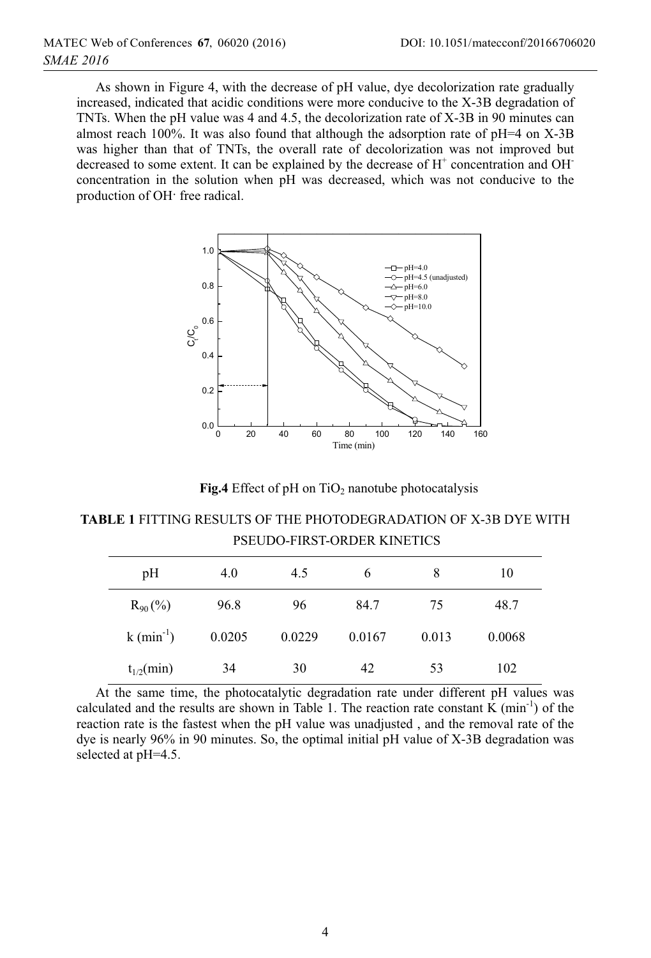As shown in Figure 4, with the decrease of pH value, dye decolorization rate gradually increased, indicated that acidic conditions were more conducive to the X-3B degradation of TNTs. When the pH value was 4 and 4.5, the decolorization rate of X-3B in 90 minutes can almost reach 100%. It was also found that although the adsorption rate of  $pH=4$  on X-3B was higher than that of TNTs, the overall rate of decolorization was not improved but decreased to some extent. It can be explained by the decrease of  $H^+$  concentration and OH concentration in the solution when pH was decreased, which was not conducive to the production of OH- free radical.



**Fig.4** Effect of pH on  $TiO<sub>2</sub>$  nanotube photocatalysis

## **TABLE 1** FITTING RESULTS OF THE PHOTODEGRADATION OF X-3B DYE WITH PSEUDO-FIRST-ORDER KINETICS

| pH                     | 4.0    | 4.5    | 6      | 8     | 10     |
|------------------------|--------|--------|--------|-------|--------|
| $R_{90}$ (%)           | 96.8   | 96     | 84.7   | 75    | 48.7   |
| $k \text{ (min}^{-1})$ | 0.0205 | 0.0229 | 0.0167 | 0.013 | 0.0068 |
| $t_{1/2}$ (min)        | 34     | 30     | 42     | 53    | 102    |

At the same time, the photocatalytic degradation rate under different pH values was calculated and the results are shown in Table 1. The reaction rate constant K  $(\text{min}^{-1})$  of the reaction rate is the fastest when the pH value was unadjusted , and the removal rate of the dye is nearly 96% in 90 minutes. So, the optimal initial pH value of X-3B degradation was selected at pH=4.5.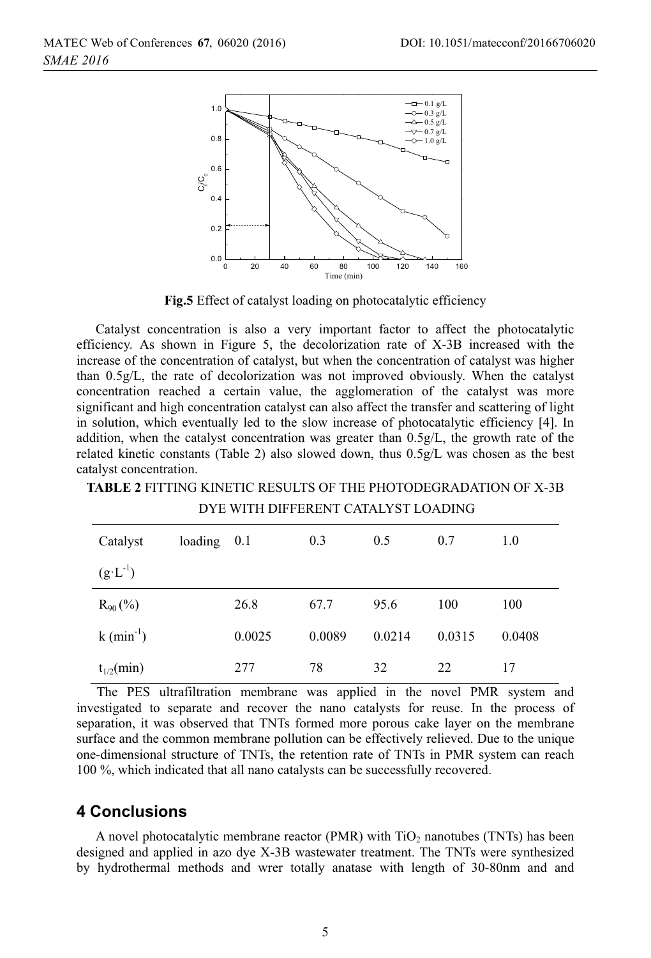

**Fig.5** Effect of catalyst loading on photocatalytic efficiency

Catalyst concentration is also a very important factor to affect the photocatalytic efficiency. As shown in Figure 5, the decolorization rate of X-3B increased with the increase of the concentration of catalyst, but when the concentration of catalyst was higher than 0.5g/L, the rate of decolorization was not improved obviously. When the catalyst concentration reached a certain value, the agglomeration of the catalyst was more significant and high concentration catalyst can also affect the transfer and scattering of light in solution, which eventually led to the slow increase of photocatalytic efficiency [4]. In addition, when the catalyst concentration was greater than 0.5g/L, the growth rate of the related kinetic constants (Table 2) also slowed down, thus 0.5g/L was chosen as the best catalyst concentration.

**TABLE 2** FITTING KINETIC RESULTS OF THE PHOTODEGRADATION OF X-3B DYE WITH DIFFERENT CATALYST LOADING

| Catalyst               | loading $0.1$ |        | 0.3    | 0.5    | 0.7    | 1.0    |
|------------------------|---------------|--------|--------|--------|--------|--------|
| $(g \cdot L^{-1})$     |               |        |        |        |        |        |
| $R_{90}$ (%)           |               | 26.8   | 67.7   | 95.6   | 100    | 100    |
| $k \text{ (min}^{-1})$ |               | 0.0025 | 0.0089 | 0.0214 | 0.0315 | 0.0408 |
| $t_{1/2}$ (min)        |               | 277    | 78     | 32     | 22     | 17     |

The PES ultrafiltration membrane was applied in the novel PMR system and investigated to separate and recover the nano catalysts for reuse. In the process of separation, it was observed that TNTs formed more porous cake layer on the membrane surface and the common membrane pollution can be effectively relieved. Due to the unique one-dimensional structure of TNTs, the retention rate of TNTs in PMR system can reach 100 %, which indicated that all nano catalysts can be successfully recovered.

### **4 Conclusions**

A novel photocatalytic membrane reactor (PMR) with  $TiO<sub>2</sub>$  nanotubes (TNTs) has been designed and applied in azo dye X-3B wastewater treatment. The TNTs were synthesized by hydrothermal methods and wrer totally anatase with length of 30-80nm and and